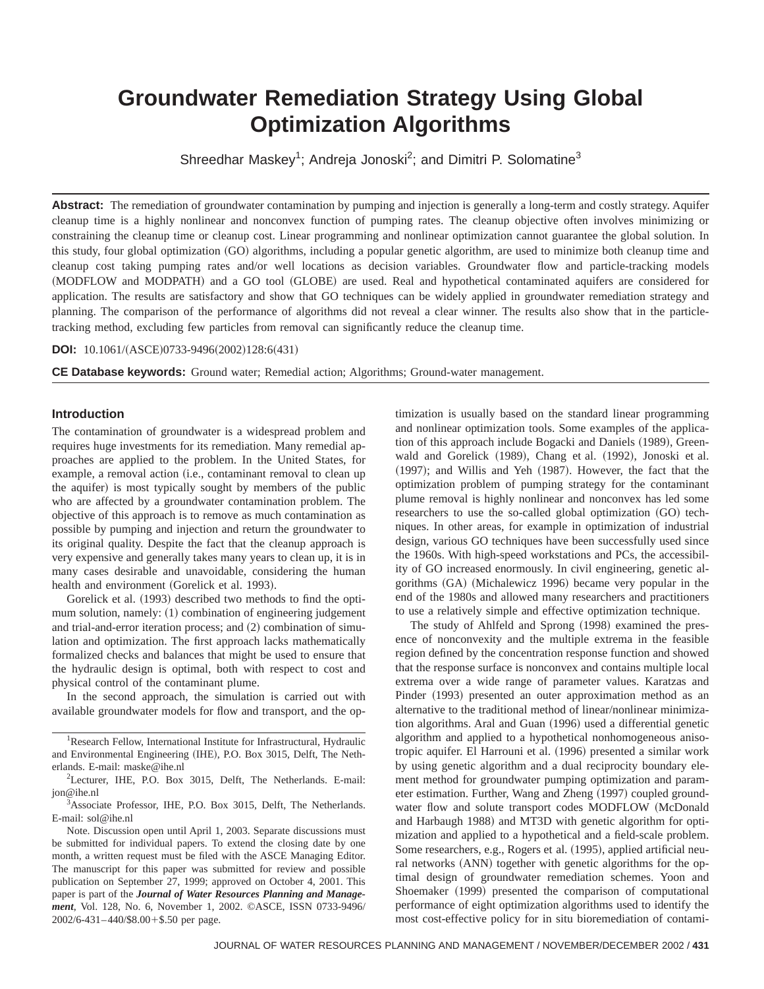# **Groundwater Remediation Strategy Using Global Optimization Algorithms**

Shreedhar Maskey<sup>1</sup>; Andreja Jonoski<sup>2</sup>; and Dimitri P. Solomatine<sup>3</sup>

**Abstract:** The remediation of groundwater contamination by pumping and injection is generally a long-term and costly strategy. Aquifer cleanup time is a highly nonlinear and nonconvex function of pumping rates. The cleanup objective often involves minimizing or constraining the cleanup time or cleanup cost. Linear programming and nonlinear optimization cannot guarantee the global solution. In this study, four global optimization (GO) algorithms, including a popular genetic algorithm, are used to minimize both cleanup time and cleanup cost taking pumping rates and/or well locations as decision variables. Groundwater flow and particle-tracking models (MODFLOW and MODPATH) and a GO tool (GLOBE) are used. Real and hypothetical contaminated aquifers are considered for application. The results are satisfactory and show that GO techniques can be widely applied in groundwater remediation strategy and planning. The comparison of the performance of algorithms did not reveal a clear winner. The results also show that in the particletracking method, excluding few particles from removal can significantly reduce the cleanup time.

**DOI:** 10.1061/(ASCE)0733-9496(2002)128:6(431)

**CE Database keywords:** Ground water; Remedial action; Algorithms; Ground-water management.

#### **Introduction**

The contamination of groundwater is a widespread problem and requires huge investments for its remediation. Many remedial approaches are applied to the problem. In the United States, for example, a removal action (i.e., contaminant removal to clean up the aquifer) is most typically sought by members of the public who are affected by a groundwater contamination problem. The objective of this approach is to remove as much contamination as possible by pumping and injection and return the groundwater to its original quality. Despite the fact that the cleanup approach is very expensive and generally takes many years to clean up, it is in many cases desirable and unavoidable, considering the human health and environment (Gorelick et al. 1993).

Gorelick et al.  $(1993)$  described two methods to find the optimum solution, namely:  $(1)$  combination of engineering judgement and trial-and-error iteration process; and  $(2)$  combination of simulation and optimization. The first approach lacks mathematically formalized checks and balances that might be used to ensure that the hydraulic design is optimal, both with respect to cost and physical control of the contaminant plume.

In the second approach, the simulation is carried out with available groundwater models for flow and transport, and the op-

<sup>1</sup>Research Fellow, International Institute for Infrastructural, Hydraulic and Environmental Engineering (IHE), P.O. Box 3015, Delft, The Netherlands. E-mail: maske@ihe.nl

<sup>2</sup>Lecturer, IHE, P.O. Box 3015, Delft, The Netherlands. E-mail: jon@ihe.nl

3 Associate Professor, IHE, P.O. Box 3015, Delft, The Netherlands. E-mail: sol@ihe.nl

Note. Discussion open until April 1, 2003. Separate discussions must be submitted for individual papers. To extend the closing date by one month, a written request must be filed with the ASCE Managing Editor. The manuscript for this paper was submitted for review and possible publication on September 27, 1999; approved on October 4, 2001. This paper is part of the *Journal of Water Resources Planning and Management*, Vol. 128, No. 6, November 1, 2002. ©ASCE, ISSN 0733-9496/  $2002/6 - 431 - 440/$ \$8.00 + \$.50 per page.

timization is usually based on the standard linear programming and nonlinear optimization tools. Some examples of the application of this approach include Bogacki and Daniels (1989), Greenwald and Gorelick (1989), Chang et al. (1992), Jonoski et al.  $(1997)$ ; and Willis and Yeh  $(1987)$ . However, the fact that the optimization problem of pumping strategy for the contaminant plume removal is highly nonlinear and nonconvex has led some researchers to use the so-called global optimization (GO) techniques. In other areas, for example in optimization of industrial design, various GO techniques have been successfully used since the 1960s. With high-speed workstations and PCs, the accessibility of GO increased enormously. In civil engineering, genetic algorithms (GA) (Michalewicz 1996) became very popular in the end of the 1980s and allowed many researchers and practitioners to use a relatively simple and effective optimization technique.

The study of Ahlfeld and Sprong (1998) examined the presence of nonconvexity and the multiple extrema in the feasible region defined by the concentration response function and showed that the response surface is nonconvex and contains multiple local extrema over a wide range of parameter values. Karatzas and Pinder (1993) presented an outer approximation method as an alternative to the traditional method of linear/nonlinear minimization algorithms. Aral and Guan (1996) used a differential genetic algorithm and applied to a hypothetical nonhomogeneous anisotropic aquifer. El Harrouni et al. (1996) presented a similar work by using genetic algorithm and a dual reciprocity boundary element method for groundwater pumping optimization and parameter estimation. Further, Wang and Zheng (1997) coupled groundwater flow and solute transport codes MODFLOW (McDonald and Harbaugh 1988) and MT3D with genetic algorithm for optimization and applied to a hypothetical and a field-scale problem. Some researchers, e.g., Rogers et al. (1995), applied artificial neural networks (ANN) together with genetic algorithms for the optimal design of groundwater remediation schemes. Yoon and Shoemaker (1999) presented the comparison of computational performance of eight optimization algorithms used to identify the most cost-effective policy for in situ bioremediation of contami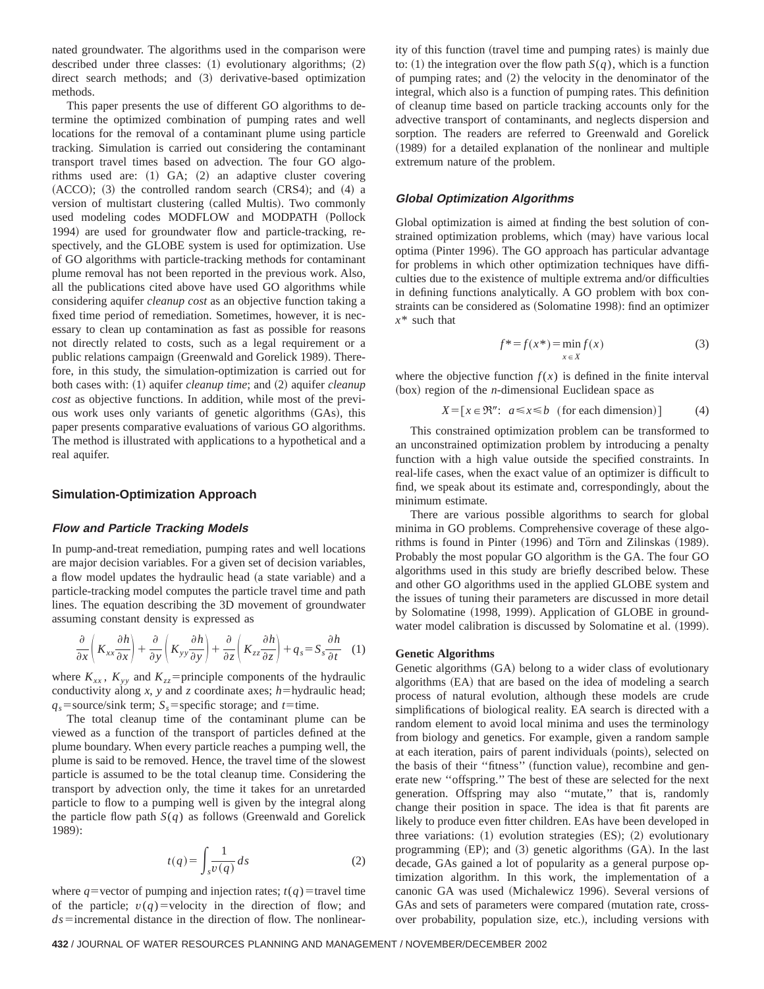nated groundwater. The algorithms used in the comparison were described under three classes:  $(1)$  evolutionary algorithms;  $(2)$ direct search methods; and (3) derivative-based optimization methods.

This paper presents the use of different GO algorithms to determine the optimized combination of pumping rates and well locations for the removal of a contaminant plume using particle tracking. Simulation is carried out considering the contaminant transport travel times based on advection. The four GO algorithms used are:  $(1)$  GA;  $(2)$  an adaptive cluster covering  $(ACCO);$   $(3)$  the controlled random search  $(CRS4);$  and  $(4)$  a version of multistart clustering (called Multis). Two commonly used modeling codes MODFLOW and MODPATH (Pollock 1994) are used for groundwater flow and particle-tracking, respectively, and the GLOBE system is used for optimization. Use of GO algorithms with particle-tracking methods for contaminant plume removal has not been reported in the previous work. Also, all the publications cited above have used GO algorithms while considering aquifer *cleanup cost* as an objective function taking a fixed time period of remediation. Sometimes, however, it is necessary to clean up contamination as fast as possible for reasons not directly related to costs, such as a legal requirement or a public relations campaign (Greenwald and Gorelick 1989). Therefore, in this study, the simulation-optimization is carried out for both cases with: (1) aquifer *cleanup time*; and (2) aquifer *cleanup cost* as objective functions. In addition, while most of the previous work uses only variants of genetic algorithms (GAs), this paper presents comparative evaluations of various GO algorithms. The method is illustrated with applications to a hypothetical and a real aquifer.

# **Simulation-Optimization Approach**

#### **Flow and Particle Tracking Models**

In pump-and-treat remediation, pumping rates and well locations are major decision variables. For a given set of decision variables, a flow model updates the hydraulic head (a state variable) and a particle-tracking model computes the particle travel time and path lines. The equation describing the 3D movement of groundwater assuming constant density is expressed as

$$
\frac{\partial}{\partial x}\left(K_{xx}\frac{\partial h}{\partial x}\right) + \frac{\partial}{\partial y}\left(K_{yy}\frac{\partial h}{\partial y}\right) + \frac{\partial}{\partial z}\left(K_{zz}\frac{\partial h}{\partial z}\right) + q_s = S_s\frac{\partial h}{\partial t} \quad (1)
$$

where  $K_{xx}$ ,  $K_{yy}$  and  $K_{zz}$ =principle components of the hydraulic conductivity along *x*, *y* and *z* coordinate axes;  $h$ =hydraulic head;  $q_s$ =source/sink term;  $S_s$ =specific storage; and *t*=time.

The total cleanup time of the contaminant plume can be viewed as a function of the transport of particles defined at the plume boundary. When every particle reaches a pumping well, the plume is said to be removed. Hence, the travel time of the slowest particle is assumed to be the total cleanup time. Considering the transport by advection only, the time it takes for an unretarded particle to flow to a pumping well is given by the integral along the particle flow path  $S(q)$  as follows (Greenwald and Gorelick 1989!:

$$
t(q) = \int_{s} \frac{1}{v(q)} ds
$$
 (2)

where *q*=vector of pumping and injection rates;  $t(q)$ =travel time of the particle;  $v(q)$ =velocity in the direction of flow; and  $ds$ =incremental distance in the direction of flow. The nonlinearity of this function (travel time and pumping rates) is mainly due to: (1) the integration over the flow path  $S(q)$ , which is a function of pumping rates; and  $(2)$  the velocity in the denominator of the integral, which also is a function of pumping rates. This definition of cleanup time based on particle tracking accounts only for the advective transport of contaminants, and neglects dispersion and sorption. The readers are referred to Greenwald and Gorelick  $(1989)$  for a detailed explanation of the nonlinear and multiple extremum nature of the problem.

#### **Global Optimization Algorithms**

Global optimization is aimed at finding the best solution of constrained optimization problems, which (may) have various local optima (Pinter 1996). The GO approach has particular advantage for problems in which other optimization techniques have difficulties due to the existence of multiple extrema and/or difficulties in defining functions analytically. A GO problem with box constraints can be considered as (Solomatine 1998): find an optimizer *x*\* such that

$$
f^* = f(x^*) = \min_{x \in X} f(x)
$$
\n(3)

where the objective function  $f(x)$  is defined in the finite interval  $(box)$  region of the *n*-dimensional Euclidean space as

 $X = [x \in \mathbb{R}^n: a \le x \le b \text{ (for each dimension)}]$  (4)

This constrained optimization problem can be transformed to an unconstrained optimization problem by introducing a penalty function with a high value outside the specified constraints. In real-life cases, when the exact value of an optimizer is difficult to find, we speak about its estimate and, correspondingly, about the minimum estimate.

There are various possible algorithms to search for global minima in GO problems. Comprehensive coverage of these algorithms is found in Pinter (1996) and Törn and Zilinskas (1989). Probably the most popular GO algorithm is the GA. The four GO algorithms used in this study are briefly described below. These and other GO algorithms used in the applied GLOBE system and the issues of tuning their parameters are discussed in more detail by Solomatine (1998, 1999). Application of GLOBE in groundwater model calibration is discussed by Solomatine et al.  $(1999)$ .

#### **Genetic Algorithms**

Genetic algorithms (GA) belong to a wider class of evolutionary algorithms (EA) that are based on the idea of modeling a search process of natural evolution, although these models are crude simplifications of biological reality. EA search is directed with a random element to avoid local minima and uses the terminology from biology and genetics. For example, given a random sample at each iteration, pairs of parent individuals (points), selected on the basis of their "fitness" (function value), recombine and generate new ''offspring.'' The best of these are selected for the next generation. Offspring may also ''mutate,'' that is, randomly change their position in space. The idea is that fit parents are likely to produce even fitter children. EAs have been developed in three variations:  $(1)$  evolution strategies  $(ES); (2)$  evolutionary programming  $(EP)$ ; and  $(3)$  genetic algorithms  $(GA)$ . In the last decade, GAs gained a lot of popularity as a general purpose optimization algorithm. In this work, the implementation of a canonic GA was used (Michalewicz 1996). Several versions of GAs and sets of parameters were compared (mutation rate, crossover probability, population size, etc.), including versions with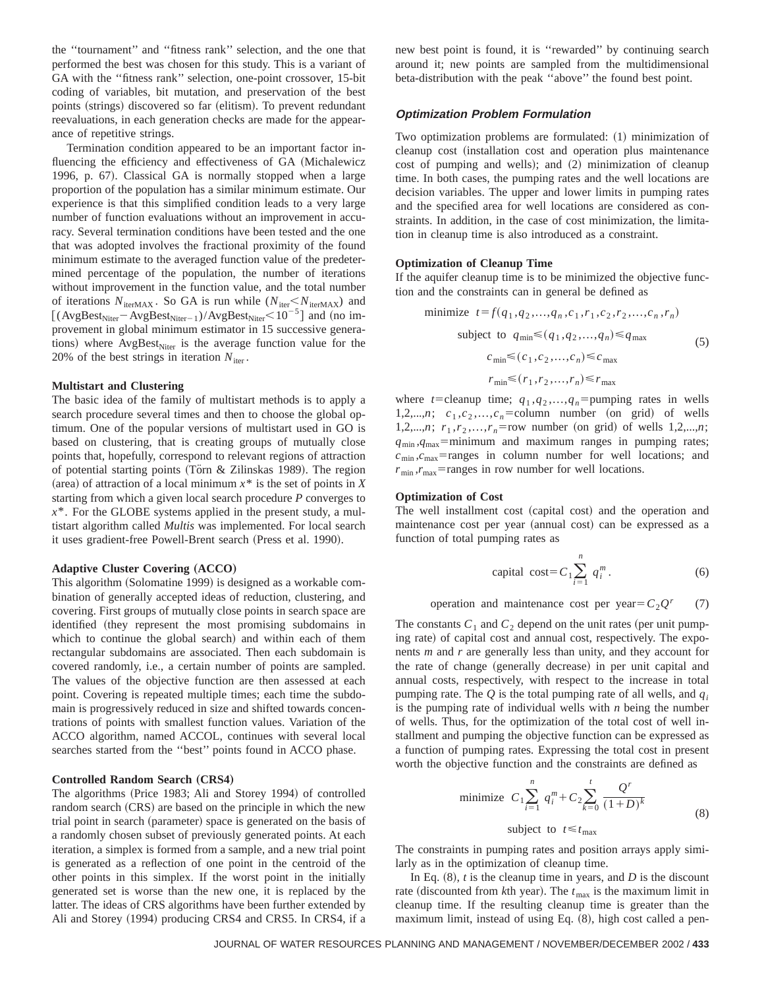the ''tournament'' and ''fitness rank'' selection, and the one that performed the best was chosen for this study. This is a variant of GA with the ''fitness rank'' selection, one-point crossover, 15-bit coding of variables, bit mutation, and preservation of the best points (strings) discovered so far (elitism). To prevent redundant reevaluations, in each generation checks are made for the appearance of repetitive strings.

Termination condition appeared to be an important factor influencing the efficiency and effectiveness of GA (Michalewicz 1996, p. 67). Classical GA is normally stopped when a large proportion of the population has a similar minimum estimate. Our experience is that this simplified condition leads to a very large number of function evaluations without an improvement in accuracy. Several termination conditions have been tested and the one that was adopted involves the fractional proximity of the found minimum estimate to the averaged function value of the predetermined percentage of the population, the number of iterations without improvement in the function value, and the total number of iterations  $N_{\text{iterMAX}}$ . So GA is run while ( $N_{\text{iter}} < N_{\text{iterMAX}}$ ) and [( $AvgBest<sub>Niter</sub> - AvgBest<sub>Niter-1</sub>)/AvgBest<sub>Niter</sub> < 10<sup>-5</sup>$ ] and (no improvement in global minimum estimator in 15 successive generations) where  $AvgBest<sub>Niter</sub>$  is the average function value for the 20% of the best strings in iteration  $N_{\text{iter}}$ .

# **Multistart and Clustering**

The basic idea of the family of multistart methods is to apply a search procedure several times and then to choose the global optimum. One of the popular versions of multistart used in GO is based on clustering, that is creating groups of mutually close points that, hopefully, correspond to relevant regions of attraction of potential starting points (Törn & Zilinskas 1989). The region (area) of attraction of a local minimum  $x^*$  is the set of points in *X* starting from which a given local search procedure *P* converges to *x*\*. For the GLOBE systems applied in the present study, a multistart algorithm called *Multis* was implemented. For local search it uses gradient-free Powell-Brent search (Press et al. 1990).

#### **Adaptive Cluster Covering (ACCO)**

This algorithm (Solomatine 1999) is designed as a workable combination of generally accepted ideas of reduction, clustering, and covering. First groups of mutually close points in search space are identified (they represent the most promising subdomains in which to continue the global search) and within each of them rectangular subdomains are associated. Then each subdomain is covered randomly, i.e., a certain number of points are sampled. The values of the objective function are then assessed at each point. Covering is repeated multiple times; each time the subdomain is progressively reduced in size and shifted towards concentrations of points with smallest function values. Variation of the ACCO algorithm, named ACCOL, continues with several local searches started from the ''best'' points found in ACCO phase.

#### **Controlled Random Search (CRS4)**

The algorithms (Price 1983; Ali and Storey 1994) of controlled random search (CRS) are based on the principle in which the new trial point in search (parameter) space is generated on the basis of a randomly chosen subset of previously generated points. At each iteration, a simplex is formed from a sample, and a new trial point is generated as a reflection of one point in the centroid of the other points in this simplex. If the worst point in the initially generated set is worse than the new one, it is replaced by the latter. The ideas of CRS algorithms have been further extended by Ali and Storey (1994) producing CRS4 and CRS5. In CRS4, if a new best point is found, it is ''rewarded'' by continuing search around it; new points are sampled from the multidimensional beta-distribution with the peak ''above'' the found best point.

#### **Optimization Problem Formulation**

Two optimization problems are formulated:  $(1)$  minimization of cleanup cost (installation cost and operation plus maintenance cost of pumping and wells); and (2) minimization of cleanup time. In both cases, the pumping rates and the well locations are decision variables. The upper and lower limits in pumping rates and the specified area for well locations are considered as constraints. In addition, in the case of cost minimization, the limitation in cleanup time is also introduced as a constraint.

#### **Optimization of Cleanup Time**

If the aquifer cleanup time is to be minimized the objective function and the constraints can in general be defined as

minimize 
$$
t = f(q_1, q_2, ..., q_n, c_1, r_1, c_2, r_2, ..., c_n, r_n)
$$
  
\nsubject to  $q_{\min} \leq (q_1, q_2, ..., q_n) \leq q_{\max}$   
\n $c_{\min} \leq (c_1, c_2, ..., c_n) \leq c_{\max}$   
\n $r_{\min} \leq (r_1, r_2, ..., r_n) \leq r_{\max}$  (5)

where *t*=cleanup time;  $q_1, q_2, ..., q_n$ =pumping rates in wells 1,2,...,*n*;  $c_1$ , $c_2$ ,..., $c_n$ =column number (on grid) of wells 1,2,...,*n*;  $r_1, r_2, \ldots, r_n$ =row number (on grid) of wells 1,2,...,*n*;  $q_{\text{min}}$ , $q_{\text{max}}$ =minimum and maximum ranges in pumping rates;  $c_{\min}$ , $c_{\max}$ =ranges in column number for well locations; and  $r_{\text{min}}$ , $r_{\text{max}}$ =ranges in row number for well locations.

#### **Optimization of Cost**

The well installment cost (capital cost) and the operation and maintenance cost per year (annual cost) can be expressed as a function of total pumping rates as

capital cost=
$$
C_1 \sum_{i=1}^{n} q_i^m
$$
. (6)

operation and maintenance cost per year= $C_2Q^r$  (7)

The constants  $C_1$  and  $C_2$  depend on the unit rates (per unit pumping rate) of capital cost and annual cost, respectively. The exponents *m* and *r* are generally less than unity, and they account for the rate of change (generally decrease) in per unit capital and annual costs, respectively, with respect to the increase in total pumping rate. The *Q* is the total pumping rate of all wells, and *qi* is the pumping rate of individual wells with *n* being the number of wells. Thus, for the optimization of the total cost of well installment and pumping the objective function can be expressed as a function of pumping rates. Expressing the total cost in present worth the objective function and the constraints are defined as

minimize 
$$
C_1 \sum_{i=1}^n q_i^m + C_2 \sum_{k=0}^t \frac{Q^r}{(1+D)^k}
$$
  
subject to  $t \le t_{\text{max}}$  (8)

The constraints in pumping rates and position arrays apply similarly as in the optimization of cleanup time.

In Eq.  $(8)$ , *t* is the cleanup time in years, and *D* is the discount rate (discounted from  $k$ th year). The  $t_{\text{max}}$  is the maximum limit in cleanup time. If the resulting cleanup time is greater than the maximum limit, instead of using Eq.  $(8)$ , high cost called a pen-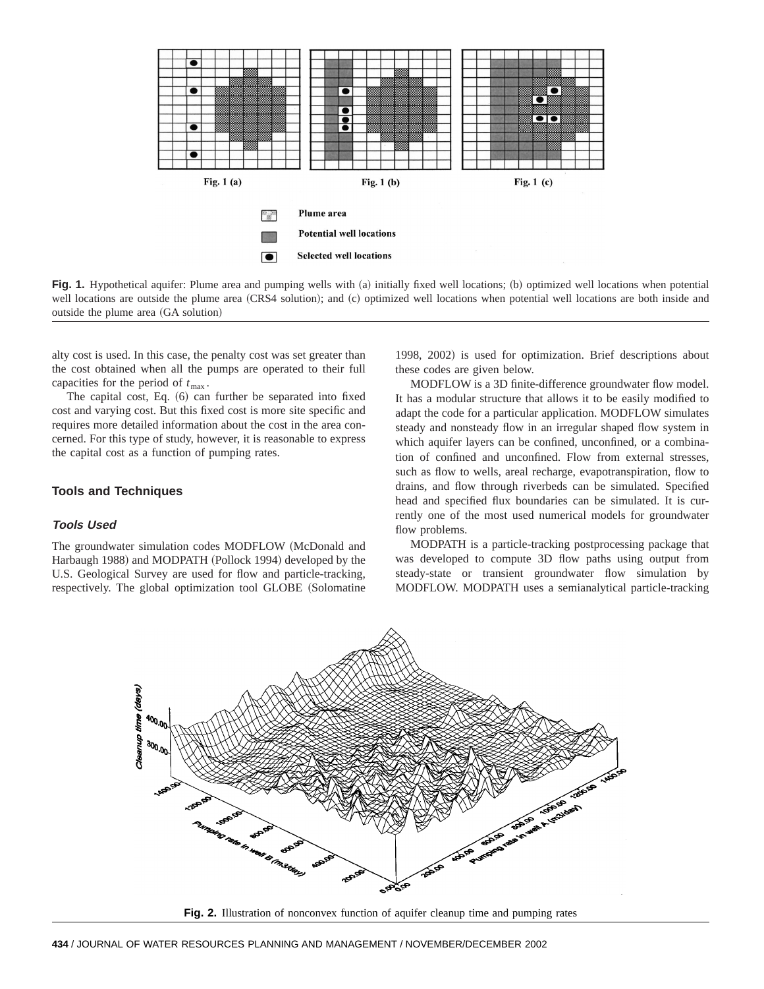



alty cost is used. In this case, the penalty cost was set greater than the cost obtained when all the pumps are operated to their full capacities for the period of  $t_{\text{max}}$ .

The capital cost, Eq.  $(6)$  can further be separated into fixed cost and varying cost. But this fixed cost is more site specific and requires more detailed information about the cost in the area concerned. For this type of study, however, it is reasonable to express the capital cost as a function of pumping rates.

# **Tools and Techniques**

#### **Tools Used**

The groundwater simulation codes MODFLOW (McDonald and Harbaugh 1988) and MODPATH (Pollock 1994) developed by the U.S. Geological Survey are used for flow and particle-tracking, respectively. The global optimization tool GLOBE (Solomatine

1998, 2002) is used for optimization. Brief descriptions about these codes are given below.

MODFLOW is a 3D finite-difference groundwater flow model. It has a modular structure that allows it to be easily modified to adapt the code for a particular application. MODFLOW simulates steady and nonsteady flow in an irregular shaped flow system in which aquifer layers can be confined, unconfined, or a combination of confined and unconfined. Flow from external stresses, such as flow to wells, areal recharge, evapotranspiration, flow to drains, and flow through riverbeds can be simulated. Specified head and specified flux boundaries can be simulated. It is currently one of the most used numerical models for groundwater flow problems.

MODPATH is a particle-tracking postprocessing package that was developed to compute 3D flow paths using output from steady-state or transient groundwater flow simulation by MODFLOW. MODPATH uses a semianalytical particle-tracking



**Fig. 2.** Illustration of nonconvex function of aquifer cleanup time and pumping rates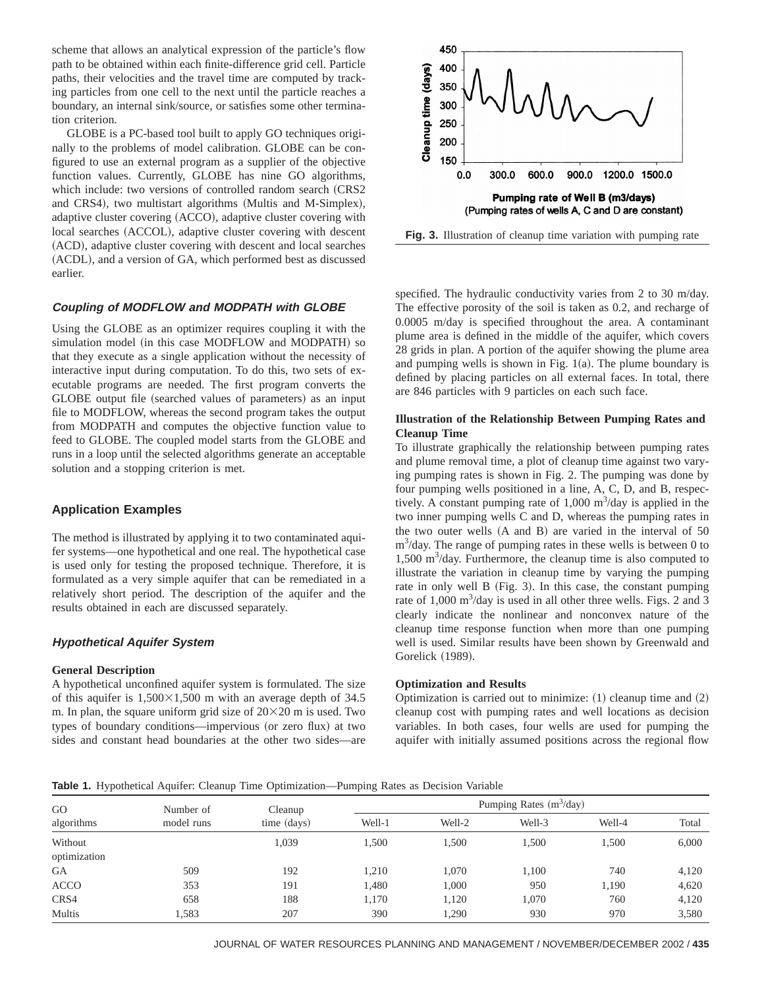scheme that allows an analytical expression of the particle's flow path to be obtained within each finite-difference grid cell. Particle paths, their velocities and the travel time are computed by tracking particles from one cell to the next until the particle reaches a boundary, an internal sink/source, or satisfies some other termination criterion.

GLOBE is a PC-based tool built to apply GO techniques originally to the problems of model calibration. GLOBE can be configured to use an external program as a supplier of the objective function values. Currently, GLOBE has nine GO algorithms, which include: two versions of controlled random search (CRS2) and CRS4), two multistart algorithms (Multis and M-Simplex), adaptive cluster covering (ACCO), adaptive cluster covering with local searches (ACCOL), adaptive cluster covering with descent (ACD), adaptive cluster covering with descent and local searches (ACDL), and a version of GA, which performed best as discussed earlier.

# **Coupling of MODFLOW and MODPATH with GLOBE**

Using the GLOBE as an optimizer requires coupling it with the simulation model (in this case MODFLOW and MODPATH) so that they execute as a single application without the necessity of interactive input during computation. To do this, two sets of executable programs are needed. The first program converts the GLOBE output file (searched values of parameters) as an input file to MODFLOW, whereas the second program takes the output from MODPATH and computes the objective function value to feed to GLOBE. The coupled model starts from the GLOBE and runs in a loop until the selected algorithms generate an acceptable solution and a stopping criterion is met.

# **Application Examples**

The method is illustrated by applying it to two contaminated aquifer systems—one hypothetical and one real. The hypothetical case is used only for testing the proposed technique. Therefore, it is formulated as a very simple aquifer that can be remediated in a relatively short period. The description of the aquifer and the results obtained in each are discussed separately.

# **Hypothetical Aquifer System**

# **General Description**

A hypothetical unconfined aquifer system is formulated. The size of this aquifer is  $1,500\times1,500$  m with an average depth of 34.5 m. In plan, the square uniform grid size of  $20\times20$  m is used. Two types of boundary conditions—impervious (or zero flux) at two sides and constant head boundaries at the other two sides—are



**Fig. 3.** Illustration of cleanup time variation with pumping rate

specified. The hydraulic conductivity varies from 2 to 30 m/day. The effective porosity of the soil is taken as 0.2, and recharge of 0.0005 m/day is specified throughout the area. A contaminant plume area is defined in the middle of the aquifer, which covers 28 grids in plan. A portion of the aquifer showing the plume area and pumping wells is shown in Fig.  $1(a)$ . The plume boundary is defined by placing particles on all external faces. In total, there are 846 particles with 9 particles on each such face.

# **Illustration of the Relationship Between Pumping Rates and Cleanup Time**

To illustrate graphically the relationship between pumping rates and plume removal time, a plot of cleanup time against two varying pumping rates is shown in Fig. 2. The pumping was done by four pumping wells positioned in a line, A, C, D, and B, respectively. A constant pumping rate of  $1,000 \text{ m}^3/\text{day}$  is applied in the two inner pumping wells C and D, whereas the pumping rates in the two outer wells  $(A \text{ and } B)$  are varied in the interval of 50  $m<sup>3</sup>/day$ . The range of pumping rates in these wells is between 0 to 1,500 m<sup>3</sup>/day. Furthermore, the cleanup time is also computed to illustrate the variation in cleanup time by varying the pumping rate in only well  $B$  (Fig. 3). In this case, the constant pumping rate of  $1,000 \text{ m}^3/\text{day}$  is used in all other three wells. Figs. 2 and 3 clearly indicate the nonlinear and nonconvex nature of the cleanup time response function when more than one pumping well is used. Similar results have been shown by Greenwald and Gorelick (1989).

#### **Optimization and Results**

Optimization is carried out to minimize:  $(1)$  cleanup time and  $(2)$ cleanup cost with pumping rates and well locations as decision variables. In both cases, four wells are used for pumping the aquifer with initially assumed positions across the regional flow

**Table 1.** Hypothetical Aquifer: Cleanup Time Optimization—Pumping Rates as Decision Variable

| GO<br>algorithms | Number of<br>model runs | Cleanup<br>time (days) |        | Pumping Rates $(m^3/day)$ |        |        |       |  |
|------------------|-------------------------|------------------------|--------|---------------------------|--------|--------|-------|--|
|                  |                         |                        | Well-1 | Well-2                    | Well-3 | Well-4 | Total |  |
| Without          |                         | 1,039                  | 1,500  | 1.500                     | 1,500  | 1.500  | 6,000 |  |
| optimization     |                         |                        |        |                           |        |        |       |  |
| <b>GA</b>        | 509                     | 192                    | 1,210  | 1.070                     | 1,100  | 740    | 4,120 |  |
| <b>ACCO</b>      | 353                     | 191                    | 1,480  | 1,000                     | 950    | 1,190  | 4,620 |  |
| CRS4             | 658                     | 188                    | 1.170  | 1,120                     | 1,070  | 760    | 4,120 |  |
| <b>Multis</b>    | .583                    | 207                    | 390    | 1,290                     | 930    | 970    | 3,580 |  |

JOURNAL OF WATER RESOURCES PLANNING AND MANAGEMENT / NOVEMBER/DECEMBER 2002 / **435**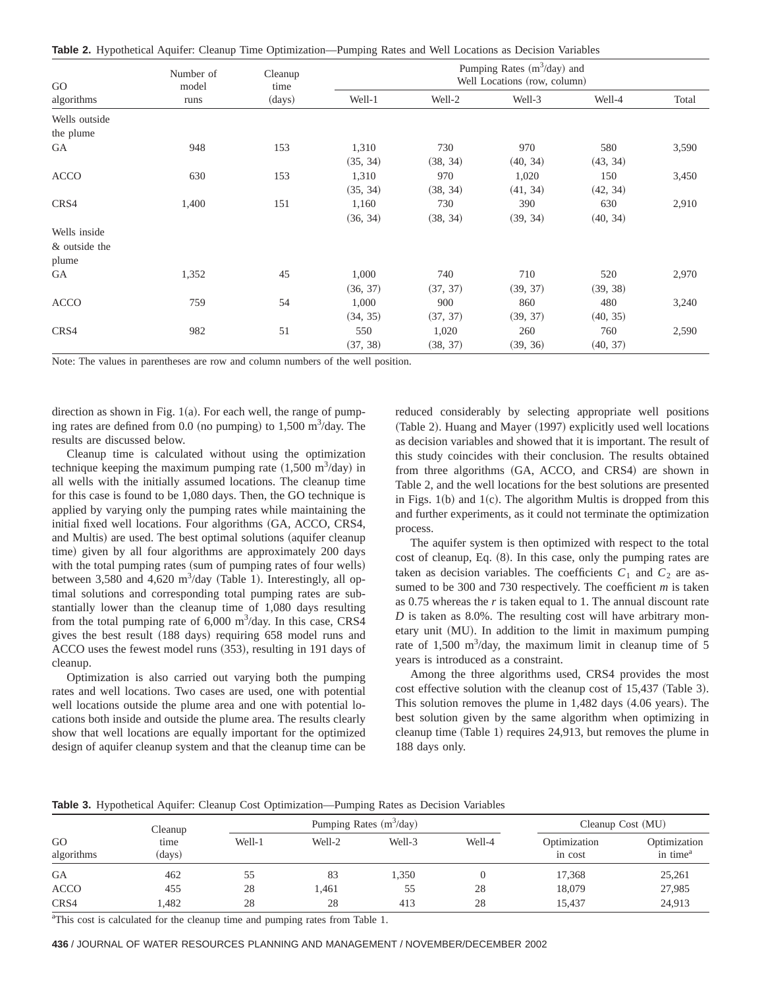**Table 2.** Hypothetical Aquifer: Cleanup Time Optimization—Pumping Rates and Well Locations as Decision Variables

| GO<br>algorithms | Number of<br>model<br>runs | Cleanup<br>time<br>(days) | Pumping Rates $(m^3/day)$ and<br>Well Locations (row, column) |          |          |          |       |  |
|------------------|----------------------------|---------------------------|---------------------------------------------------------------|----------|----------|----------|-------|--|
|                  |                            |                           | Well-1                                                        | Well-2   | Well-3   | Well-4   | Total |  |
| Wells outside    |                            |                           |                                                               |          |          |          |       |  |
| the plume        |                            |                           |                                                               |          |          |          |       |  |
| GA               | 948                        | 153                       | 1,310                                                         | 730      | 970      | 580      | 3,590 |  |
|                  |                            |                           | (35, 34)                                                      | (38, 34) | (40, 34) | (43, 34) |       |  |
| ACCO             | 630                        | 153                       | 1,310                                                         | 970      | 1,020    | 150      | 3,450 |  |
|                  |                            |                           | (35, 34)                                                      | (38, 34) | (41, 34) | (42, 34) |       |  |
| CRS4             | 1,400                      | 151                       | 1,160                                                         | 730      | 390      | 630      | 2,910 |  |
|                  |                            |                           | (36, 34)                                                      | (38, 34) | (39, 34) | (40, 34) |       |  |
| Wells inside     |                            |                           |                                                               |          |          |          |       |  |
| & outside the    |                            |                           |                                                               |          |          |          |       |  |
| plume            |                            |                           |                                                               |          |          |          |       |  |
| GA               | 1,352                      | 45                        | 1,000                                                         | 740      | 710      | 520      | 2,970 |  |
|                  |                            |                           | (36, 37)                                                      | (37, 37) | (39, 37) | (39, 38) |       |  |
| <b>ACCO</b>      | 759                        | 54                        | 1,000                                                         | 900      | 860      | 480      | 3,240 |  |
|                  |                            |                           | (34, 35)                                                      | (37, 37) | (39, 37) | (40, 35) |       |  |
| CRS4             | 982                        | 51                        | 550                                                           | 1,020    | 260      | 760      | 2,590 |  |
|                  |                            |                           | (37, 38)                                                      | (38, 37) | (39, 36) | (40, 37) |       |  |

Note: The values in parentheses are row and column numbers of the well position.

direction as shown in Fig.  $1(a)$ . For each well, the range of pumping rates are defined from 0.0 (no pumping) to 1,500 m<sup>3</sup>/day. The results are discussed below.

Cleanup time is calculated without using the optimization technique keeping the maximum pumping rate  $(1,500 \text{ m}^3/\text{day})$  in all wells with the initially assumed locations. The cleanup time for this case is found to be 1,080 days. Then, the GO technique is applied by varying only the pumping rates while maintaining the initial fixed well locations. Four algorithms (GA, ACCO, CRS4, and Multis) are used. The best optimal solutions (aquifer cleanup time) given by all four algorithms are approximately 200 days with the total pumping rates (sum of pumping rates of four wells) between  $3,580$  and  $4,620 \text{ m}^3/\text{day}$  (Table 1). Interestingly, all optimal solutions and corresponding total pumping rates are substantially lower than the cleanup time of 1,080 days resulting from the total pumping rate of  $6,000 \text{ m}^3/\text{day}$ . In this case, CRS4 gives the best result (188 days) requiring 658 model runs and ACCO uses the fewest model runs (353), resulting in 191 days of cleanup.

Optimization is also carried out varying both the pumping rates and well locations. Two cases are used, one with potential well locations outside the plume area and one with potential locations both inside and outside the plume area. The results clearly show that well locations are equally important for the optimized design of aquifer cleanup system and that the cleanup time can be reduced considerably by selecting appropriate well positions (Table 2). Huang and Mayer (1997) explicitly used well locations as decision variables and showed that it is important. The result of this study coincides with their conclusion. The results obtained from three algorithms (GA, ACCO, and CRS4) are shown in Table 2, and the well locations for the best solutions are presented in Figs.  $1(b)$  and  $1(c)$ . The algorithm Multis is dropped from this and further experiments, as it could not terminate the optimization process.

The aquifer system is then optimized with respect to the total  $cost of cleanup, Eq. (8). In this case, only the pumping rates are$ taken as decision variables. The coefficients  $C_1$  and  $C_2$  are assumed to be 300 and 730 respectively. The coefficient *m* is taken as 0.75 whereas the *r* is taken equal to 1. The annual discount rate *D* is taken as 8.0%. The resulting cost will have arbitrary monetary unit (MU). In addition to the limit in maximum pumping rate of 1,500  $\text{m}^3/\text{day}$ , the maximum limit in cleanup time of 5 years is introduced as a constraint.

Among the three algorithms used, CRS4 provides the most cost effective solution with the cleanup cost of 15,437 (Table 3). This solution removes the plume in  $1,482$  days  $(4.06$  years). The best solution given by the same algorithm when optimizing in cleanup time  $(Table 1)$  requires 24,913, but removes the plume in 188 days only.

**Table 3.** Hypothetical Aquifer: Cleanup Cost Optimization—Pumping Rates as Decision Variables

|                                    | Cleanup |        | Pumping Rates $(m^3/day)$ |        |                         |                                      | Cleanup Cost (MU) |  |
|------------------------------------|---------|--------|---------------------------|--------|-------------------------|--------------------------------------|-------------------|--|
| GO<br>time<br>algorithms<br>(days) | Well-1  | Well-2 | Well-3                    | Well-4 | Optimization<br>in cost | Optimization<br>in time <sup>a</sup> |                   |  |
| <b>GA</b>                          | 462     | 55     | 83                        | 1,350  |                         | 17,368                               | 25,261            |  |
| <b>ACCO</b>                        | 455     | 28     | .461                      | 55     | 28                      | 18,079                               | 27,985            |  |
| CRS4                               | .482    | 28     | 28                        | 413    | 28                      | 15.437                               | 24,913            |  |

<sup>a</sup>This cost is calculated for the cleanup time and pumping rates from Table 1.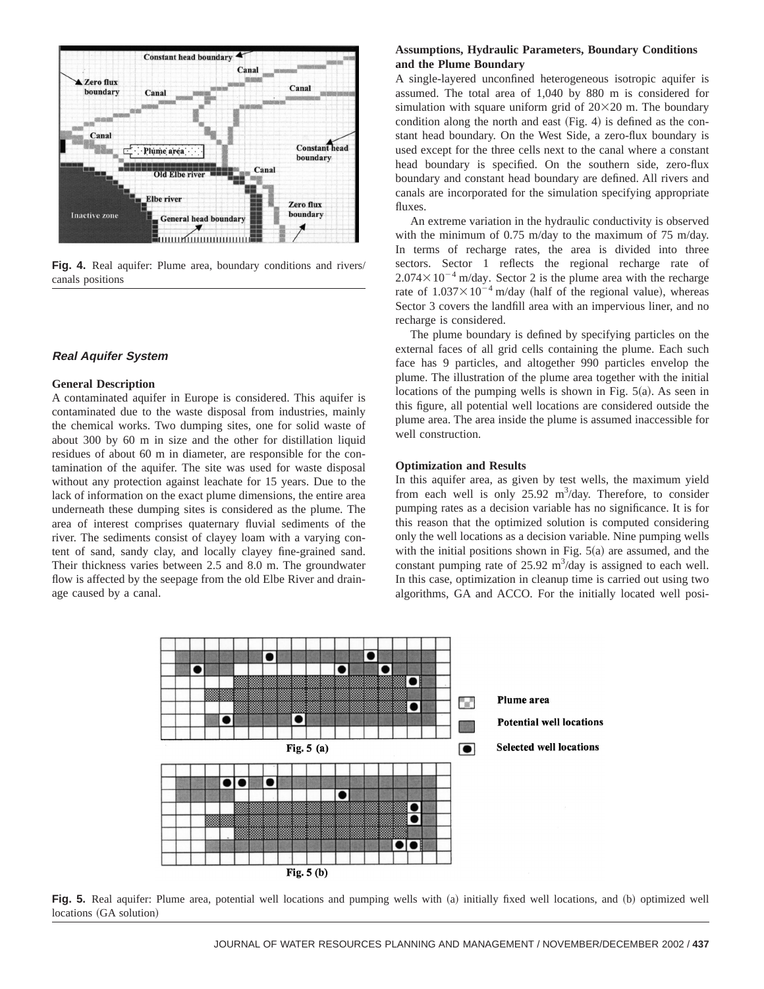

Fig. 4. Real aquifer: Plume area, boundary conditions and rivers/ canals positions

## **Real Aquifer System**

#### **General Description**

A contaminated aquifer in Europe is considered. This aquifer is contaminated due to the waste disposal from industries, mainly the chemical works. Two dumping sites, one for solid waste of about 300 by 60 m in size and the other for distillation liquid residues of about 60 m in diameter, are responsible for the contamination of the aquifer. The site was used for waste disposal without any protection against leachate for 15 years. Due to the lack of information on the exact plume dimensions, the entire area underneath these dumping sites is considered as the plume. The area of interest comprises quaternary fluvial sediments of the river. The sediments consist of clayey loam with a varying content of sand, sandy clay, and locally clayey fine-grained sand. Their thickness varies between 2.5 and 8.0 m. The groundwater flow is affected by the seepage from the old Elbe River and drainage caused by a canal.

# **Assumptions, Hydraulic Parameters, Boundary Conditions and the Plume Boundary**

A single-layered unconfined heterogeneous isotropic aquifer is assumed. The total area of 1,040 by 880 m is considered for simulation with square uniform grid of  $20\times20$  m. The boundary condition along the north and east  $(Fig. 4)$  is defined as the constant head boundary. On the West Side, a zero-flux boundary is used except for the three cells next to the canal where a constant head boundary is specified. On the southern side, zero-flux boundary and constant head boundary are defined. All rivers and canals are incorporated for the simulation specifying appropriate fluxes.

An extreme variation in the hydraulic conductivity is observed with the minimum of 0.75 m/day to the maximum of 75 m/day. In terms of recharge rates, the area is divided into three sectors. Sector 1 reflects the regional recharge rate of  $2.074 \times 10^{-4}$  m/day. Sector 2 is the plume area with the recharge rate of  $1.037 \times 10^{-4}$  m/day (half of the regional value), whereas Sector 3 covers the landfill area with an impervious liner, and no recharge is considered.

The plume boundary is defined by specifying particles on the external faces of all grid cells containing the plume. Each such face has 9 particles, and altogether 990 particles envelop the plume. The illustration of the plume area together with the initial locations of the pumping wells is shown in Fig.  $5(a)$ . As seen in this figure, all potential well locations are considered outside the plume area. The area inside the plume is assumed inaccessible for well construction.

#### **Optimization and Results**

In this aquifer area, as given by test wells, the maximum yield from each well is only  $25.92 \text{ m}^3/\text{day}$ . Therefore, to consider pumping rates as a decision variable has no significance. It is for this reason that the optimized solution is computed considering only the well locations as a decision variable. Nine pumping wells with the initial positions shown in Fig.  $5(a)$  are assumed, and the constant pumping rate of  $25.92 \text{ m}^3/\text{day}$  is assigned to each well. In this case, optimization in cleanup time is carried out using two algorithms, GA and ACCO. For the initially located well posi-



Fig. 5. Real aquifer: Plume area, potential well locations and pumping wells with (a) initially fixed well locations, and (b) optimized well locations (GA solution)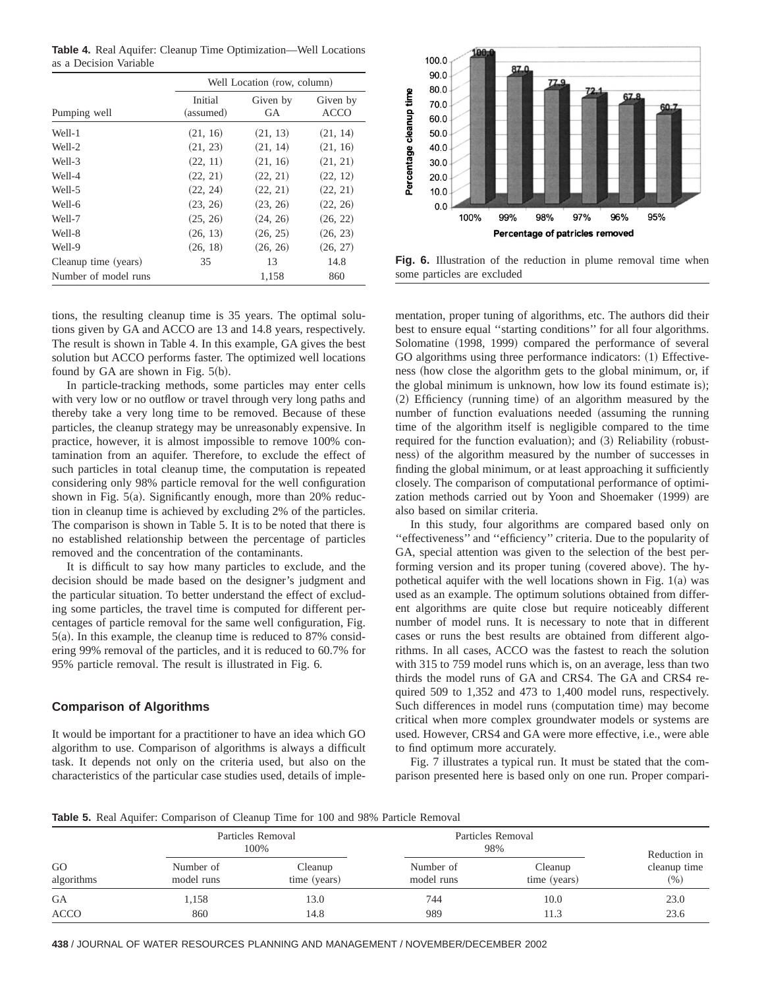**Table 4.** Real Aquifer: Cleanup Time Optimization—Well Locations as a Decision Variable

|                      | Well Location (row, column) |                |                         |  |  |
|----------------------|-----------------------------|----------------|-------------------------|--|--|
| Pumping well         | Initial<br>(assumed)        | Given by<br>GA | Given by<br><b>ACCO</b> |  |  |
| Well-1               | (21, 16)                    | (21, 13)       | (21, 14)                |  |  |
| Well-2               | (21, 23)                    | (21, 14)       | (21, 16)                |  |  |
| Well-3               | (22, 11)                    | (21, 16)       | (21, 21)                |  |  |
| Well-4               | (22, 21)                    | (22, 21)       | (22, 12)                |  |  |
| Well-5               | (22, 24)                    | (22, 21)       | (22, 21)                |  |  |
| Well-6               | (23, 26)                    | (23, 26)       | (22, 26)                |  |  |
| Well-7               | (25, 26)                    | (24, 26)       | (26, 22)                |  |  |
| Well-8               | (26, 13)                    | (26, 25)       | (26, 23)                |  |  |
| Well-9               | (26, 18)                    | (26, 26)       | (26, 27)                |  |  |
| Cleanup time (years) | 35                          | 13             | 14.8                    |  |  |
| Number of model runs |                             | 1.158          | 860                     |  |  |

tions, the resulting cleanup time is 35 years. The optimal solutions given by GA and ACCO are 13 and 14.8 years, respectively. The result is shown in Table 4. In this example, GA gives the best solution but ACCO performs faster. The optimized well locations found by GA are shown in Fig.  $5(b)$ .

In particle-tracking methods, some particles may enter cells with very low or no outflow or travel through very long paths and thereby take a very long time to be removed. Because of these particles, the cleanup strategy may be unreasonably expensive. In practice, however, it is almost impossible to remove 100% contamination from an aquifer. Therefore, to exclude the effect of such particles in total cleanup time, the computation is repeated considering only 98% particle removal for the well configuration shown in Fig.  $5(a)$ . Significantly enough, more than 20% reduction in cleanup time is achieved by excluding 2% of the particles. The comparison is shown in Table 5. It is to be noted that there is no established relationship between the percentage of particles removed and the concentration of the contaminants.

It is difficult to say how many particles to exclude, and the decision should be made based on the designer's judgment and the particular situation. To better understand the effect of excluding some particles, the travel time is computed for different percentages of particle removal for the same well configuration, Fig.  $5(a)$ . In this example, the cleanup time is reduced to 87% considering 99% removal of the particles, and it is reduced to 60.7% for 95% particle removal. The result is illustrated in Fig. 6.

# **Comparison of Algorithms**

It would be important for a practitioner to have an idea which GO algorithm to use. Comparison of algorithms is always a difficult task. It depends not only on the criteria used, but also on the characteristics of the particular case studies used, details of imple-



**Fig. 6.** Illustration of the reduction in plume removal time when some particles are excluded

mentation, proper tuning of algorithms, etc. The authors did their best to ensure equal ''starting conditions'' for all four algorithms. Solomatine (1998, 1999) compared the performance of several GO algorithms using three performance indicators: (1) Effectiveness (how close the algorithm gets to the global minimum, or, if the global minimum is unknown, how low its found estimate is);  $(2)$  Efficiency (running time) of an algorithm measured by the number of function evaluations needed (assuming the running time of the algorithm itself is negligible compared to the time required for the function evaluation); and  $(3)$  Reliability (robustness) of the algorithm measured by the number of successes in finding the global minimum, or at least approaching it sufficiently closely. The comparison of computational performance of optimization methods carried out by Yoon and Shoemaker (1999) are also based on similar criteria.

In this study, four algorithms are compared based only on ''effectiveness'' and ''efficiency'' criteria. Due to the popularity of GA, special attention was given to the selection of the best performing version and its proper tuning (covered above). The hypothetical aquifer with the well locations shown in Fig.  $1(a)$  was used as an example. The optimum solutions obtained from different algorithms are quite close but require noticeably different number of model runs. It is necessary to note that in different cases or runs the best results are obtained from different algorithms. In all cases, ACCO was the fastest to reach the solution with 315 to 759 model runs which is, on an average, less than two thirds the model runs of GA and CRS4. The GA and CRS4 required 509 to 1,352 and 473 to 1,400 model runs, respectively. Such differences in model runs (computation time) may become critical when more complex groundwater models or systems are used. However, CRS4 and GA were more effective, i.e., were able to find optimum more accurately.

Fig. 7 illustrates a typical run. It must be stated that the comparison presented here is based only on one run. Proper compari-

**Table 5.** Real Aquifer: Comparison of Cleanup Time for 100 and 98% Particle Removal

| GO<br>algorithms  | Particles Removal<br>100% |                         | Particles Removal<br>98% | Reduction in            |                      |
|-------------------|---------------------------|-------------------------|--------------------------|-------------------------|----------------------|
|                   | Number of<br>model runs   | Cleanup<br>time (years) | Number of<br>model runs  | Cleanup<br>time (years) | cleanup time<br>(% ) |
| GA<br><b>ACCO</b> | 1,158<br>860              | 13.0<br>14.8            | 744<br>989               | 10.0<br>11.3            | 23.0<br>23.6         |

**438** / JOURNAL OF WATER RESOURCES PLANNING AND MANAGEMENT / NOVEMBER/DECEMBER 2002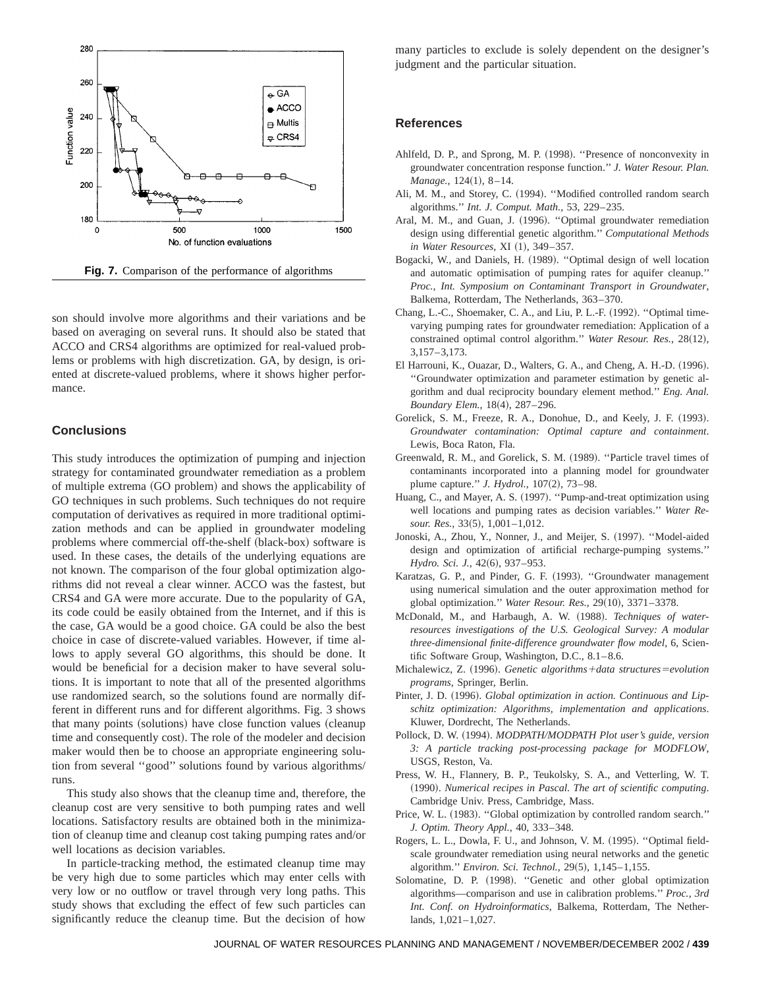

**Fig. 7.** Comparison of the performance of algorithms

son should involve more algorithms and their variations and be based on averaging on several runs. It should also be stated that ACCO and CRS4 algorithms are optimized for real-valued problems or problems with high discretization. GA, by design, is oriented at discrete-valued problems, where it shows higher performance.

## **Conclusions**

This study introduces the optimization of pumping and injection strategy for contaminated groundwater remediation as a problem of multiple extrema (GO problem) and shows the applicability of GO techniques in such problems. Such techniques do not require computation of derivatives as required in more traditional optimization methods and can be applied in groundwater modeling problems where commercial off-the-shelf (black-box) software is used. In these cases, the details of the underlying equations are not known. The comparison of the four global optimization algorithms did not reveal a clear winner. ACCO was the fastest, but CRS4 and GA were more accurate. Due to the popularity of GA, its code could be easily obtained from the Internet, and if this is the case, GA would be a good choice. GA could be also the best choice in case of discrete-valued variables. However, if time allows to apply several GO algorithms, this should be done. It would be beneficial for a decision maker to have several solutions. It is important to note that all of the presented algorithms use randomized search, so the solutions found are normally different in different runs and for different algorithms. Fig. 3 shows that many points (solutions) have close function values (cleanup time and consequently cost). The role of the modeler and decision maker would then be to choose an appropriate engineering solution from several ''good'' solutions found by various algorithms/ runs.

This study also shows that the cleanup time and, therefore, the cleanup cost are very sensitive to both pumping rates and well locations. Satisfactory results are obtained both in the minimization of cleanup time and cleanup cost taking pumping rates and/or well locations as decision variables.

In particle-tracking method, the estimated cleanup time may be very high due to some particles which may enter cells with very low or no outflow or travel through very long paths. This study shows that excluding the effect of few such particles can significantly reduce the cleanup time. But the decision of how

many particles to exclude is solely dependent on the designer's judgment and the particular situation.

# **References**

- Ahlfeld, D. P., and Sprong, M. P. (1998). "Presence of nonconvexity in groundwater concentration response function.'' *J. Water Resour. Plan. Manage.,* 124(1), 8-14.
- Ali, M. M., and Storey, C. (1994). "Modified controlled random search algorithms.'' *Int. J. Comput. Math.,* 53, 229–235.
- Aral, M. M., and Guan, J. (1996). "Optimal groundwater remediation design using differential genetic algorithm.'' *Computational Methods in Water Resources*, XI (1), 349-357.
- Bogacki, W., and Daniels, H. (1989). "Optimal design of well location and automatic optimisation of pumping rates for aquifer cleanup.'' *Proc., Int. Symposium on Contaminant Transport in Groundwater*, Balkema, Rotterdam, The Netherlands, 363–370.
- Chang, L.-C., Shoemaker, C. A., and Liu, P. L.-F. (1992). "Optimal timevarying pumping rates for groundwater remediation: Application of a constrained optimal control algorithm." *Water Resour. Res.*, 28(12), 3,157–3,173.
- El Harrouni, K., Ouazar, D., Walters, G. A., and Cheng, A. H.-D. (1996). ''Groundwater optimization and parameter estimation by genetic algorithm and dual reciprocity boundary element method.'' *Eng. Anal.* Boundary Elem., 18(4), 287-296.
- Gorelick, S. M., Freeze, R. A., Donohue, D., and Keely, J. F. (1993). *Groundwater contamination: Optimal capture and containment*. Lewis, Boca Raton, Fla.
- Greenwald, R. M., and Gorelick, S. M. (1989). "Particle travel times of contaminants incorporated into a planning model for groundwater plume capture." *J. Hydrol.*, 107(2), 73–98.
- Huang, C., and Mayer, A. S. (1997). "Pump-and-treat optimization using well locations and pumping rates as decision variables.'' *Water Resour. Res.,* 33(5), 1,001-1,012.
- Jonoski, A., Zhou, Y., Nonner, J., and Meijer, S. (1997). "Model-aided design and optimization of artificial recharge-pumping systems.'' *Hydro. Sci. J.*, 42(6), 937–953.
- Karatzas, G. P., and Pinder, G. F. (1993). "Groundwater management using numerical simulation and the outer approximation method for global optimization." *Water Resour. Res.*, 29(10), 3371-3378.
- McDonald, M., and Harbaugh, A. W. (1988). *Techniques of waterresources investigations of the U.S. Geological Survey: A modular three-dimensional finite-difference groundwater flow model*, 6, Scientific Software Group, Washington, D.C., 8.1–8.6.
- Michalewicz, Z. (1996). *Genetic algorithms* + *data structures* = *evolution programs*, Springer, Berlin.
- Pinter, J. D. (1996). *Global optimization in action. Continuous and Lipschitz optimization: Algorithms, implementation and applications*. Kluwer, Dordrecht, The Netherlands.
- Pollock, D. W. (1994). *MODPATH/MODPATH Plot user's guide, version 3: A particle tracking post-processing package for MODFLOW*, USGS, Reston, Va.
- Press, W. H., Flannery, B. P., Teukolsky, S. A., and Vetterling, W. T. ~1990!. *Numerical recipes in Pascal. The art of scientific computing*. Cambridge Univ. Press, Cambridge, Mass.
- Price, W. L. (1983). "Global optimization by controlled random search." *J. Optim. Theory Appl.,* 40, 333–348.
- Rogers, L. L., Dowla, F. U., and Johnson, V. M. (1995). "Optimal fieldscale groundwater remediation using neural networks and the genetic algorithm." *Environ. Sci. Technol.*, 29(5), 1,145-1,155.
- Solomatine, D. P. (1998). "Genetic and other global optimization algorithms—comparison and use in calibration problems.'' *Proc., 3rd Int. Conf. on Hydroinformatics*, Balkema, Rotterdam, The Netherlands, 1,021–1,027.